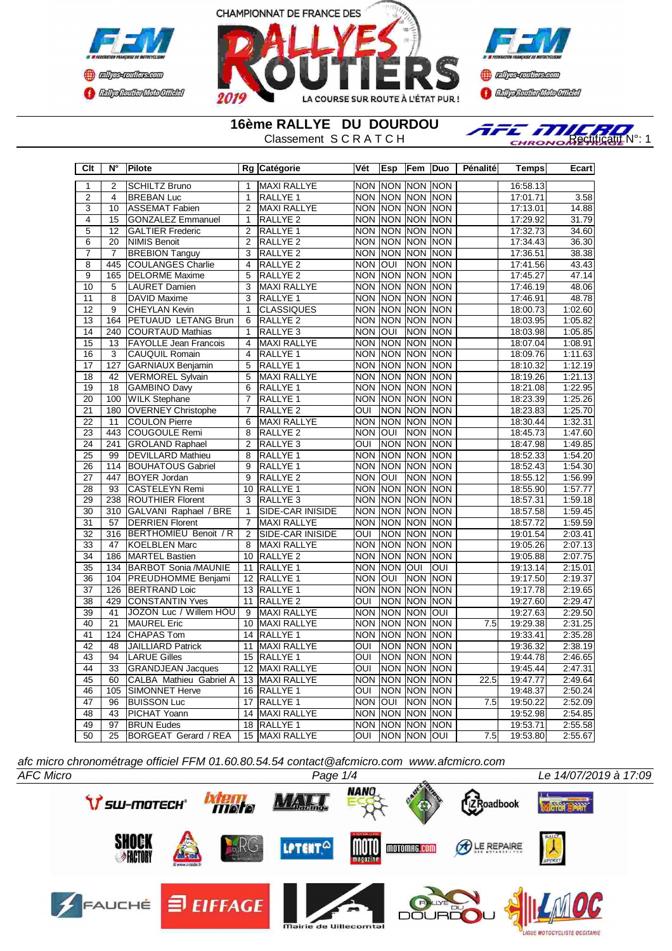



**Confederation Complementation** 

**16ème RALLYE DU DOURDOU**

RALLYE DU DOURDOU<br>Classement S C R A T C H

| Clt             | Ν°              | Pilote                       |                 | Rg Catégorie        | Vét                     | <b>Esp</b>            | Fem  Duo       |            | Pénalité | <b>Temps</b> | Ecart   |
|-----------------|-----------------|------------------------------|-----------------|---------------------|-------------------------|-----------------------|----------------|------------|----------|--------------|---------|
| $\overline{1}$  | $\overline{2}$  | <b>SCHILTZ Bruno</b>         | $\overline{1}$  | <b>MAXI RALLYE</b>  | <b>NON</b>              | <b>INON INON INON</b> |                |            |          | 16:58.13     |         |
| $\overline{2}$  | $\overline{4}$  | <b>BREBAN Luc</b>            | $\overline{1}$  | <b>RALLYE 1</b>     | <b>NON</b>              | NON NON NON           |                |            |          | 17:01.71     | 3.58    |
| 3               | 10              | <b>ASSEMAT Fabien</b>        | $\overline{2}$  | <b>MAXI RALLYE</b>  | <b>NON</b>              | <b>NON</b>            | NON NON        |            |          | 17:13.01     | 14.88   |
| $\overline{4}$  | 15              | <b>GONZALEZ Emmanuel</b>     | $\mathbf{1}$    | RALLYE <sub>2</sub> | <b>NON</b>              | <b>NON</b>            | <b>NON NON</b> |            |          | 17:29.92     | 31.79   |
| 5               | 12              | <b>GALTIER Frederic</b>      | $\overline{2}$  | <b>RALLYE 1</b>     | <b>NON</b>              | <b>NON</b>            | NON NON        |            |          | 17:32.73     | 34.60   |
| $\overline{6}$  | 20              | <b>NIMIS Benoit</b>          | $\overline{2}$  | <b>RALLYE 2</b>     |                         | NON NON NON NON       |                |            |          | 17:34.43     | 36.30   |
| $\overline{7}$  | $\overline{7}$  | <b>BREBION Tanguy</b>        | 3               | RALLYE <sub>2</sub> | <b>NON</b>              | <b>NON</b>            | <b>NON NON</b> |            |          | 17:36.51     | 38.38   |
| $\overline{8}$  | 445             | <b>COULANGES Charlie</b>     | 4               | RALLYE <sub>2</sub> | <b>NON</b>              | loui                  | <b>NON NON</b> |            |          | 17:41.56     | 43.43   |
| $\overline{9}$  | 165             | <b>DELORME</b> Maxime        | $\overline{5}$  | <b>RALLYE 2</b>     | <b>NON</b>              | <b>NON</b>            | NON NON        |            |          | 17:45.27     | 47.14   |
| 10              | 5               | <b>LAURET Damien</b>         | $\overline{3}$  | <b>MAXI RALLYE</b>  |                         | NON NON NON NON       |                |            |          | 17:46.19     | 48.06   |
| $\overline{11}$ | $\overline{8}$  | <b>DAVID Maxime</b>          | $\overline{3}$  | <b>RALLYE 1</b>     | <b>NON</b>              | NON NON NON           |                |            |          | 17:46.91     | 48.78   |
| $\overline{12}$ | 9               | <b>CHEYLAN Kevin</b>         | $\mathbf{1}$    | <b>CLASSIQUES</b>   | <b>NON</b>              | NON NON NON           |                |            |          | 18:00.73     | 1:02.60 |
| $\overline{13}$ | 164             | PETUAUD LETANG Brun          | 6               | RALLYE <sub>2</sub> | <b>NON</b>              | NON NON NON           |                |            |          | 18:03.95     | 1:05.82 |
| $\overline{14}$ | 240             | <b>COURTAUD Mathias</b>      | 1               | RALLYE <sub>3</sub> | <b>NON</b>              | OUI                   | <b>NON NON</b> |            |          | 18:03.98     | 1:05.85 |
| $\overline{15}$ | 13              | <b>FAYOLLE Jean Francois</b> | $\overline{4}$  | <b>MAXI RALLYE</b>  | <b>NON</b>              | <b>NON</b>            | NON NON        |            |          | 18:07.04     | 1:08.91 |
| 16              | 3               | <b>CAUQUIL Romain</b>        | $\overline{4}$  | RALLYE 1            | <b>NON</b>              | <b>NON</b>            | NON NON        |            |          | 18:09.76     | 1:11.63 |
| 17              | 127             | <b>GARNIAUX Benjamin</b>     | $\overline{5}$  | RALLYE 1            |                         | NON NON NON NON       |                |            |          | 18:10.32     | 1:12.19 |
| $\overline{18}$ | 42              | <b>VERMOREL Sylvain</b>      | $\overline{5}$  | MAXI RALLYE         | <b>NON</b>              | <b>NON</b>            | NON NON        |            |          | 18:19.26     | 1:21.13 |
| $\overline{19}$ | $\overline{18}$ | <b>GAMBINO Davy</b>          | $\overline{6}$  | RALLYE <sub>1</sub> |                         | NON NON NON NON       |                |            |          | 18:21.08     | 1:22.95 |
| $\overline{20}$ | 100             | <b>WILK Stephane</b>         | $\overline{7}$  | RALLYE 1            |                         | <b>NON NON</b>        | NON NON        |            |          | 18:23.39     | 1:25.26 |
| 21              | 180             | <b>OVERNEY Christophe</b>    | $\overline{7}$  | <b>RALLYE 2</b>     | $\overline{\text{OUI}}$ |                       | NON NON NON    |            |          | 18:23.83     | 1:25.70 |
| $\overline{22}$ | 11              | <b>COULON Pierre</b>         | 6               | <b>MAXI RALLYE</b>  | <b>NON</b>              | NON NON NON           |                |            |          | 18:30.44     | 1:32.31 |
| $\overline{23}$ | 443             | <b>COUGOULE Remi</b>         | $\overline{8}$  | <b>RALLYE 2</b>     | <b>NON</b>              | <b>OUI</b>            | NON NON        |            |          | 18:45.73     | 1:47.60 |
| $\overline{24}$ | 241             | <b>GROLAND Raphael</b>       | $\overline{2}$  | RALLYE <sub>3</sub> | OUI                     |                       | NON NON NON    |            |          | 18:47.98     | 1.49.85 |
| 25              | 99              | <b>DEVILLARD Mathieu</b>     | 8               | RALLYE 1            | <b>NON</b>              | <b>NON</b>            | NON NON        |            |          | 18:52.33     | 1:54.20 |
| 26              | 114             | <b>BOUHATOUS Gabriel</b>     | $\overline{9}$  | RALLYE 1            | <b>NON</b>              | <b>NON</b>            | NON NON        |            |          | 18:52.43     | 1:54.30 |
| 27              | 447             | <b>BOYER Jordan</b>          | 9               | RALLYE <sub>2</sub> | <b>NON</b>              | <b>OUI</b>            | NON NON        |            |          | 18:55.12     | 1:56.99 |
| 28              | 93              | <b>CASTELEYN Remi</b>        | 10 <sup>1</sup> | <b>RALLYE 1</b>     | <b>NON</b>              | <b>NON</b>            | NON NON        |            |          | 18:55.90     | 1:57.77 |
| 29              | 238             | <b>ROUTHIER Florent</b>      | $\overline{3}$  | RALLYE <sub>3</sub> |                         | <b>NON NON</b>        | <b>NON</b>     | <b>NON</b> |          | 18:57.31     | 1:59.18 |
| $\overline{30}$ | 310             | GALVANI Raphael / BRE        | $\mathbf{1}$    | SIDE-CAR INISIDE    |                         | NON NON NON NON       |                |            |          | 18:57.58     | 1:59.45 |
| $\overline{31}$ | $\overline{57}$ | <b>DERRIEN Florent</b>       | $\overline{7}$  | <b>MAXI RALLYE</b>  |                         | NON NON NON NON       |                |            |          | 18:57.72     | 1:59.59 |
| 32              | 316             | <b>BERTHOMIEU Benoit / R</b> | $\overline{2}$  | SIDE-CAR INISIDE    | OUI                     | Inon Inon Inon        |                |            |          | 19:01.54     | 2:03.41 |
| 33              | 47              | <b>KOELBLEN Marc</b>         | 8               | MAXI RALLYE         | <b>NON</b>              | NON NON NON           |                |            |          | 19:05.26     | 2:07.13 |
| 34              | 186             | <b>MARTEL Bastien</b>        |                 | 10 RALLYE 2         | <b>NON</b>              | NON NON NON           |                |            |          | 19:05.88     | 2:07.75 |
| 35              | 134             | <b>BARBOT Sonia /MAUNIE</b>  | 11              | RALLYE <sub>1</sub> | <b>NON</b>              | <b>NON</b>            | <b>OUI</b>     | OUI        |          | 19:13.14     | 2:15.01 |
| 36              | 104             | PREUDHOMME Benjami           | $\overline{12}$ | RALLYE <sub>1</sub> | <b>NON</b>              | <b>OUI</b>            | NON NON        |            |          | 19:17.50     | 2:19.37 |
| 37              | 126             | <b>BERTRAND Loic</b>         |                 | 13 RALLYE 1         | <b>NON</b>              | <b>NON</b>            | NON NON        |            |          | 19:17.78     | 2:19.65 |
| 38              | 429             | <b>CONSTANTIN Yves</b>       | 11              | <b>RALLYE 2</b>     | <b>OUI</b>              | <b>NON</b>            | <b>NON NON</b> |            |          | 19:27.60     | 2:29.47 |
| 39              | $\overline{41}$ | JOZON Luc / Willem HOU       | $\overline{9}$  | <b>MAXI RALLYE</b>  | <b>NON</b>              | NON NON OUI           |                |            |          | 19:27.63     | 2:29.50 |
| 40              | $\overline{21}$ | <b>MAUREL Eric</b>           |                 | 10 MAXI RALLYE      | <b>NON</b>              | <b>NON</b>            | <b>NON NON</b> |            | 7.5      | 19:29.38     | 2:31.25 |
| 41              | 124             | <b>CHAPAS Tom</b>            |                 | 14 RALLYE 1         |                         | NON NON NON NON       |                |            |          | 19:33.41     | 2:35.28 |
| $\overline{42}$ | 48              | <b>JAILLIARD Patrick</b>     | 11              | <b>MAXI RALLYE</b>  | <b>OUI</b>              | <b>NON</b>            | <b>NON NON</b> |            |          | 19:36.32     | 2:38.19 |
| 43              | $\overline{94}$ | <b>LARUE Gilles</b>          | 15              | RALLYE <sub>1</sub> | $\overline{O}$          | NON NON NON           |                |            |          | 19:44.78     | 2:46.65 |
| 44              | 33              | <b>GRANDJEAN Jacques</b>     | 12              | <b>MAXI RALLYE</b>  | $\overline{\text{OUI}}$ |                       | NON NON NON    |            |          | 19:45.44     | 2:47.31 |
| 45              | 60              | CALBA Mathieu Gabriel A      |                 | 13 MAXI RALLYE      | <b>NON</b>              | NON NON NON           |                |            | 22.5     | 19:47.77     | 2:49.64 |
| 46              | 105             | <b>SIMONNET Herve</b>        |                 | 16 RALLYE 1         | <b>OUI</b>              |                       | NON NON NON    |            |          | 19:48.37     | 2:50.24 |
| 47              | 96              | <b>BUISSON Luc</b>           | 17              | RALLYE <sub>1</sub> | <b>NON</b>              | <b>OUI</b>            | <b>NON NON</b> |            | 7.5      | 19:50.22     | 2:52.09 |
| 48              | 43              | <b>PICHAT Yoann</b>          |                 | 14 MAXI RALLYE      | <b>NON</b>              | <b>NON</b>            | NON NON        |            |          | 19:52.98     | 2:54.85 |
| 49              | 97              | <b>BRUN Eudes</b>            | 18              | <b>RALLYE 1</b>     |                         | NON NON NON NON       |                |            |          | 19:53.71     | 2:55.58 |
| $\overline{50}$ | $\overline{25}$ | BORGEAT Gerard / REA         |                 | 15 MAXI RALLYE      | OUI                     | NON NON OUI           |                |            | 7.5      | 19:53.80     | 2:55.67 |

*afc micro chronométrage officiel FFM 01.60.80.54.54 contact@afcmicro.com www.afcmicro.com*

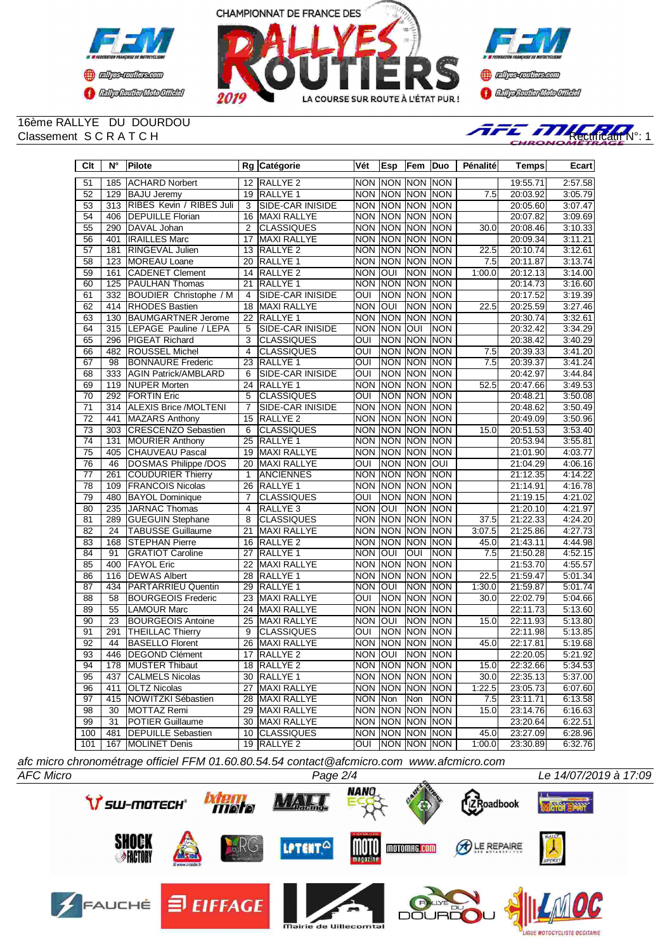





# 16ème RALLYE DU DOURDOU



| $\overline{C}$ It | $\overline{\mathsf{N}^{\circ}}$ | <b>Pilote</b>                 |                         | Rg Catégorie            | Vét                     | Esp            | Fem             | Duo         | Pénalité         | <b>Temps</b> | Ecart   |
|-------------------|---------------------------------|-------------------------------|-------------------------|-------------------------|-------------------------|----------------|-----------------|-------------|------------------|--------------|---------|
| 51                | 185                             | <b>ACHARD Norbert</b>         |                         | 12 RALLYE 2             |                         |                | NON NON NON NON |             |                  | 19:55.71     | 2:57.58 |
| 52                | 129                             | <b>BAJU Jeremy</b>            | $\overline{19}$         | <b>RALLYE 1</b>         |                         | <b>NON NON</b> | <b>NON</b>      | <b>NON</b>  | 7.5              | 20:03.92     | 3:05.79 |
| 53                | 313                             | RIBES Kevin / RIBES Juli      | 3                       | SIDE-CAR INISIDE        |                         |                | NON NON NON NON |             |                  | 20:05.60     | 3:07.47 |
| $\overline{54}$   | 406                             | <b>DEPUILLE Florian</b>       | 16                      | MAXI RALLYE             |                         | <b>NON NON</b> | <b>NON</b>      | <b>NON</b>  |                  | 20:07.82     | 3:09.69 |
| 55                | 290                             | DAVAL Johan                   | $\overline{2}$          | <b>CLASSIQUES</b>       |                         | <b>NON NON</b> | <b>NON</b>      | INON        | 30.0             | 20:08.46     | 3:10.33 |
| 56                | 401                             | <b>IRAILLES Marc</b>          | 17                      | <b>MAXI RALLYE</b>      |                         | <b>NON NON</b> | <b>NON NON</b>  |             |                  | 20:09.34     | 3:11.21 |
| $\overline{57}$   | 181                             | RINGEVAL Julien               | $\overline{13}$         | RALLYE <sub>2</sub>     |                         | <b>NON NON</b> | <b>NON</b>      | <b>NON</b>  | 22.5             | 20:10.74     | 3:12.61 |
| 58                | 123                             | <b>MOREAU Loane</b>           | 20                      | RALLYE <sub>1</sub>     |                         | NON NON        | NON NON         |             | 7.5              | 20:11.87     | 3:13.74 |
| 59                | 161                             | <b>CADENET Clement</b>        | 14                      | RALLYE <sub>2</sub>     | <b>NON</b>              | loui           | <b>NON</b>      | <b>NON</b>  | 1:00.0           | 20:12.13     | 3:14.00 |
| 60                | 125                             | <b>PAULHAN Thomas</b>         | 21                      | RALLYE 1                |                         | <b>NON NON</b> | <b>NON</b>      | <b>NON</b>  |                  | 20:14.73     | 3:16.60 |
| 61                | 332                             | <b>BOUDIER Christophe / M</b> | $\overline{4}$          | <b>SIDE-CAR INISIDE</b> | $\overline{O}$          | <b>NON</b>     | <b>NON</b>      | <b>NON</b>  |                  | 20:17.52     | 3:19.39 |
| 62                | 414                             | <b>RHODES Bastien</b>         | 18                      | <b>MAXI RALLYE</b>      | <b>NON</b>              | OUI            | <b>NON</b>      | <b>NON</b>  | 22.5             | 20:25.59     | 3:27.46 |
| 63                | 130                             | <b>BAUMGARTNER Jerome</b>     | 22                      | RALLYE 1                |                         | <b>NON NON</b> | <b>NON</b>      | <b>NON</b>  |                  | 20:30.74     | 3:32.61 |
| 64                | $\overline{315}$                | LEPAGE Pauline / LEPA         | $\overline{5}$          | <b>SIDE-CAR INISIDE</b> | <b>NON</b>              | <b>NON</b>     | Ì               | <b>NON</b>  |                  | 20:32.42     | 3:34.29 |
| 65                | 296                             | <b>PIGEAT Richard</b>         | $\overline{\mathbf{3}}$ | <b>CLASSIQUES</b>       | $\overline{\text{out}}$ | <b>NON</b>     | <b>NON</b>      | <b>NON</b>  |                  | 20:38.42     | 3:40.29 |
| 66                | 482                             | <b>ROUSSEL Michel</b>         | $\overline{4}$          | <b>CLASSIQUES</b>       | OUI                     | <b>NON</b>     | <b>NON</b>      | <b>NON</b>  | 7.5              | 20:39.33     | 3:41.20 |
| 67                | 98                              | <b>BONNAURE Frederic</b>      | $\overline{23}$         | <b>RALLYE 1</b>         | OUI                     | <b>NON</b>     | <b>NON</b>      | <b>NON</b>  | $\overline{7.5}$ | 20:39.37     | 3:41.24 |
| 68                | 333                             | <b>AGIN Patrick/AMBLARD</b>   | 6                       | SIDE-CAR INISIDE        | $\overline{\text{OUI}}$ | <b>NON</b>     | <b>NON</b>      | INON        |                  | 20:42.97     | 3:44.84 |
| 69                | 119                             | <b>NUPER Morten</b>           | $\overline{24}$         | RALLYE 1                | <b>NON</b>              | <b>NON</b>     | <b>NON</b>      | <b>NON</b>  | 52.5             | 20:47.66     | 3:49.53 |
| $\overline{70}$   | 292                             | <b>FORTIN Eric</b>            | $\overline{5}$          | <b>CLASSIQUES</b>       | ОUІ                     | <b>NON</b>     | <b>NON</b>      | <b>NON</b>  |                  | 20:48.21     | 3:50.08 |
| 71                | 314                             | <b>ALEXIS Brice /MOLTENI</b>  | $\overline{7}$          | SIDE-CAR INISIDE        | <b>NON</b>              | <b>NON</b>     | <b>NON</b>      | INON        |                  | 20:48.62     | 3:50.49 |
| $\overline{72}$   | 441                             | <b>MAZARS Anthony</b>         | 15                      | RALLYE 2                |                         | <b>NON NON</b> | NON <sub></sub> | <b>NON</b>  |                  | 20:49.09     | 3:50.96 |
| $\overline{73}$   | 303                             | <b>CRESCENZO Sebastien</b>    | $\overline{6}$          | <b>CLASSIQUES</b>       |                         | <b>NON NON</b> | <b>NON</b>      | <b>NON</b>  | 15.0             | 20:51.53     | 3:53.40 |
| $\overline{74}$   | 131                             | <b>MOURIER Anthony</b>        | $\overline{25}$         | <b>RALLYE 1</b>         |                         | <b>NON NON</b> | <b>NON</b>      | <b>NON</b>  |                  | 20:53.94     | 3:55.81 |
| $\overline{75}$   | 405                             | <b>CHAUVEAU Pascal</b>        | 19                      | <b>MAXI RALLYE</b>      |                         | NON NON        | <b>NON</b>      | <b>NON</b>  |                  | 21:01.90     | 4:03.77 |
| 76                | 46                              | DOSMAS Philippe /DOS          | 20                      | MAXI RALLYE             | OUI                     | <b>NON</b>     | <b>NON</b>      | loui        |                  | 21:04.29     | 4:06.16 |
| $\overline{77}$   | 261                             | <b>COUDURIER Thierry</b>      | $\mathbf{1}$            | <b>ANCIENNES</b>        |                         | <b>NON NON</b> | <b>NON</b>      | <b>NON</b>  |                  | 21:12.35     | 4:14.22 |
| 78                | 109                             | <b>FRANCOIS Nicolas</b>       | 26                      | RALLYE 1                |                         | NON NON        | <b>NON</b>      | <b>NON</b>  |                  | 21:14.91     | 4:16.78 |
| 79                | 480                             | <b>BAYOL Dominique</b>        | 7                       | <b>CLASSIQUES</b>       | OUI                     |                | NON NON         | <b>NON</b>  |                  | 21:19.15     | 4:21.02 |
| 80                | 235                             | <b>JARNAC Thomas</b>          | $\overline{4}$          | RALLYE <sub>3</sub>     | <b>NON</b>              | <b>OUI</b>     | <b>NON</b>      | <b>NON</b>  |                  | 21:20.10     | 4:21.97 |
| 81                | 289                             | <b>GUEGUIN Stephane</b>       | $\overline{8}$          | <b>CLASSIQUES</b>       |                         | <b>NON NON</b> | <b>NON</b>      | <b>NON</b>  | 37.5             | 21:22.33     | 4:24.20 |
| 82                | $\overline{24}$                 | <b>TABUSSE Guillaume</b>      | 21                      | MAXI RALLYE             |                         | <b>NON NON</b> | <b>NON</b>      | <b>NON</b>  | 3:07.5           | 21:25.86     | 4:27.73 |
| 83                | 168                             | <b>STEPHAN Pierre</b>         | 16                      | RALLYE <sub>2</sub>     |                         | <b>NON NON</b> | <b>NON</b>      | <b>NON</b>  | 45.0             | 21:43.11     | 4:44.98 |
| 84                | 91                              | <b>GRATIOT Caroline</b>       | 27                      | RALLYE 1                | NON OUI                 |                | OUI             | <b>NON</b>  | 7.5              | 21:50.28     | 4:52.15 |
| 85                | 400                             | <b>FAYOL Eric</b>             | $\overline{22}$         | <b>MAXI RALLYE</b>      |                         | NON NON        | <b>NON</b>      | <b>NON</b>  |                  | 21:53.70     | 4:55.57 |
| 86                | 116                             | <b>DEWAS Albert</b>           | 28                      | RALLYE 1                |                         | NON NON        | <b>NON</b>      | <b>NON</b>  | 22.5             | 21:59.47     | 5:01.34 |
| 87                | 434                             | <b>PARTARRIEU Quentin</b>     | 29                      | RALLYE 1                | <b>NON JOUL</b>         |                | <b>NON</b>      | INON        | 1:30.0           | 21:59.87     | 5:01.74 |
| 88                | 58                              | <b>BOURGEOIS Frederic</b>     | 23                      | <b>MAXI RALLYE</b>      | OUI                     | <b>NON</b>     | <b>NON</b>      | <b>NON</b>  | 30.0             | 22:02.79     | 5:04.66 |
| 89                | 55                              | <b>LAMOUR Marc</b>            | $\overline{24}$         | <b>MAXI RALLYE</b>      |                         | <b>NON NON</b> | <b>NON</b>      | <b>NON</b>  |                  | 22:11.73     | 5:13.60 |
| 90                | 23                              | <b>BOURGEOIS Antoine</b>      | 25                      | MAXI RALLYE             | <b>NON</b>              | <b>OUI</b>     | <b>NON</b>      | <b>NON</b>  | 15.0             | 22:11.93     | 5:13.80 |
| 91                | 291                             | <b>THEILLAC Thierry</b>       | 9                       | <b>CLASSIQUES</b>       | OUI                     | <b>NON</b>     | <b>NON</b>      | <b>NON</b>  |                  | 22:11.98     | 5:13.85 |
| $\overline{92}$   | 44                              | <b>BASELLO Florent</b>        | 26                      | <b>MAXI RALLYE</b>      | <b>NON</b>              | <b>NON</b>     | <b>NON</b>      | <b>NON</b>  | 45.0             | 22:17.81     | 5:19.68 |
| 93                | 446                             | <b>DEGOND Clément</b>         | $\overline{17}$         | RALLYE <sub>2</sub>     | <b>NON</b>              | loui           | <b>NON</b>      | <b>NON</b>  |                  | 22:20.05     | 5:21.92 |
| 94                | 178                             | <b>MUSTER Thibaut</b>         | $\overline{18}$         | RALLYE <sub>2</sub>     |                         | <b>NON NON</b> | <b>NON</b>      | <b>NON</b>  | 15.0             | 22:32.66     | 5:34.53 |
| 95                | 437                             | <b>CALMELS Nicolas</b>        | 30                      | RALLYE 1                |                         | <b>NON NON</b> | <b>NON</b>      | INON        | 30.0             | 22:35.13     | 5:37.00 |
| 96                | 411                             | <b>OLTZ Nicolas</b>           | 27                      | MAXI RALLYE             | <b>NON</b>              | <b>NON</b>     | <b>NON</b>      | <b>NON</b>  | 1:22.5           | 23:05.73     | 6:07.60 |
| $\overline{97}$   | 415                             | NOWITZKI Sébastien            | $\overline{28}$         | <b>MAXI RALLYE</b>      | NON Non                 |                | Non             | <b>NON</b>  | 7.5              | 23:11.71     | 6:13.58 |
| 98                | 30                              | MOTTAZ Remi                   |                         | 29 MAXI RALLYE          |                         | NON NON        | <b>NON</b>      | <b>NON</b>  | 15.0             | 23:14.76     | 6:16.63 |
| 99                | 31                              | <b>POTIER Guillaume</b>       | $\overline{30}$         | MAXI RALLYE             | <b>NON</b>              | <b>NON</b>     | <b>NON</b>      | <b>NON</b>  |                  | 23:20.64     | 6:22.51 |
| 100               | 481                             | <b>DEPUILLE Sebastien</b>     | 10                      | <b>CLASSIQUES</b>       |                         |                | NON NON NON NON |             | 45.0             | 23:27.09     | 6:28.96 |
| 101               | 167                             | <b>MOLINET Denis</b>          |                         | 19 RALLYE 2             | OUI                     |                |                 | NON NON NON | 1:00.0           | 23:30.89     | 6:32.76 |

*afc micro chronométrage officiel FFM 01.60.80.54.54 contact@afcmicro.com www.afcmicro.com*

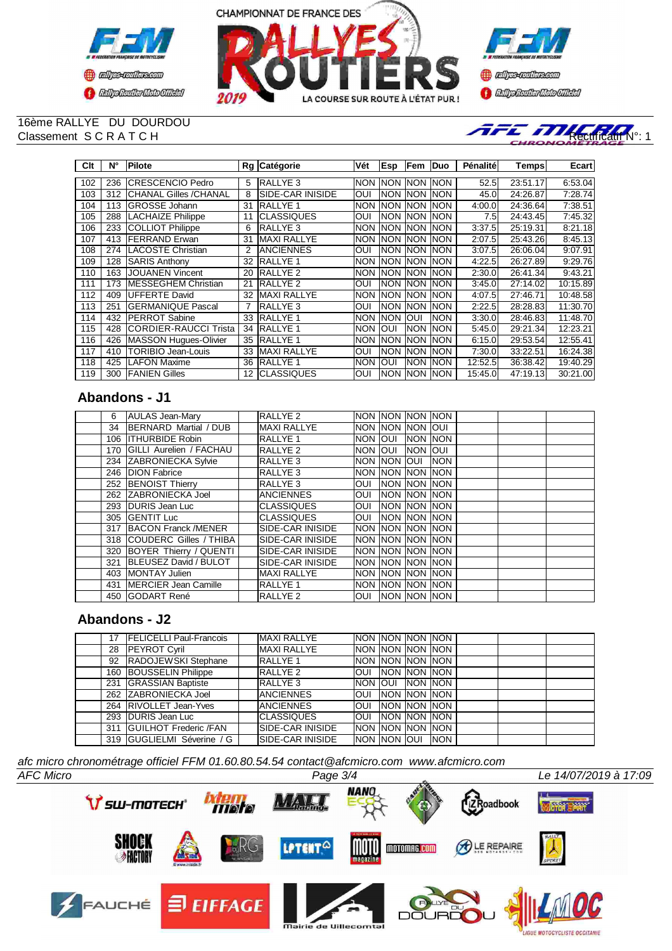





## 16ème RALLYE DU DOURDOU



| Clt | N°  | Pilote                       |    | Rg Catégorie            | Vét        | Esp         | lFem        | <b>IDuo</b> | Pénalité | Temps∣   | Ecart    |
|-----|-----|------------------------------|----|-------------------------|------------|-------------|-------------|-------------|----------|----------|----------|
|     |     |                              |    |                         |            |             |             |             |          |          |          |
| 102 | 236 | <b>ICRESCENCIO Pedro</b>     | 5  | <b>RALLYE 3</b>         | <b>NON</b> | INON        | <b>INON</b> | <b>INON</b> | 52.5     | 23:51.17 | 6:53.04  |
| 103 | 312 | <b>CHANAL Gilles /CHANAL</b> | 8  | <b>SIDE-CAR INISIDE</b> | OUI        | INON        | <b>INON</b> | <b>INON</b> | 45.0     | 24:26.87 | 7:28.74  |
| 104 | 113 | <b>GROSSE Johann</b>         | 31 | IRALLYE 1               | <b>NON</b> | <b>INON</b> | <b>NON</b>  | <b>INON</b> | 4:00.0   | 24:36.64 | 7:38.51  |
| 105 | 288 | <b>LACHAIZE Philippe</b>     | 11 | <b>CLASSIQUES</b>       | OUI        | <b>NON</b>  | <b>NON</b>  | <b>NON</b>  | 7.5      | 24:43.45 | 7:45.32  |
| 106 | 233 | <b>COLLIOT Philippe</b>      | 6  | <b>RALLYE 3</b>         | <b>NON</b> | <b>INON</b> | <b>NON</b>  | <b>NON</b>  | 3:37.5   | 25:19.31 | 8:21.18  |
| 107 | 413 | <b>IFERRAND Erwan</b>        | 31 | MAXI RALLYE             | <b>NON</b> | <b>INON</b> | <b>NON</b>  | <b>INON</b> | 2:07.5   | 25:43.26 | 8:45.13  |
| 108 | 274 | LACOSTE Christian            | 2  | <b>ANCIENNES</b>        | OUI        | <b>NON</b>  | <b>NON</b>  | <b>INON</b> | 3:07.5   | 26:06.04 | 9:07.91  |
| 109 | 128 | <b>SARIS Anthony</b>         | 32 | <b>RALLYE 1</b>         | <b>NON</b> | <b>INON</b> | <b>NON</b>  | <b>INON</b> | 4:22.5   | 26:27.89 | 9:29.76  |
| 110 | 163 | <b>JOUANEN Vincent</b>       | 20 | <b>IRALLYE 2</b>        | <b>NON</b> | <b>NON</b>  | <b>NON</b>  | <b>NON</b>  | 2:30.0   | 26:41.34 | 9:43.21  |
| 111 | 173 | <b>IMESSEGHEM Christian</b>  | 21 | <b>RALLYE 2</b>         | OUI        | INON        | <b>INON</b> | <b>NON</b>  | 3:45.0   | 27:14.02 | 10:15.89 |
| 112 | 409 | <b>UFFERTE David</b>         | 32 | <b>MAXI RALLYE</b>      | <b>NON</b> | <b>NON</b>  | <b>NON</b>  | <b>NON</b>  | 4:07.5   | 27:46.71 | 10:48.58 |
| 113 | 251 | IGERMANIQUE Pascal           |    | RALLYE 3                | OUI        | INON        | <b>NON</b>  | <b>INON</b> | 2:22.5   | 28:28.83 | 11:30.70 |
| 114 | 432 | <b>IPERROT Sabine</b>        | 33 | <b>RALLYE 1</b>         | <b>NON</b> | <b>NON</b>  | <b>OUI</b>  | <b>NON</b>  | 3:30.0   | 28:46.83 | 11:48.70 |
| 115 | 428 | <b>CORDIER-RAUCCI Trista</b> | 34 | <b>IRALLYE 1</b>        | <b>NON</b> | IOUI        | <b>NON</b>  | <b>INON</b> | 5:45.0   | 29:21.34 | 12:23.21 |
| 116 | 426 | MASSON Hugues-Olivier        | 35 | <b>RALLYE 1</b>         | <b>NON</b> | <b>INON</b> | <b>NON</b>  | <b>INON</b> | 6:15.0   | 29:53.54 | 12:55.41 |
| 117 | 410 | <b>TORIBIO Jean-Louis</b>    | 33 | <b>MAXI RALLYE</b>      | OUI        | <b>NON</b>  | <b>NON</b>  | <b>NON</b>  | 7:30.0   | 33:22.51 | 16:24.38 |
| 118 | 425 | <b>LAFON Maxime</b>          | 36 | IRALLYE 1               | <b>NON</b> | <b>OUI</b>  | <b>NON</b>  | <b>NON</b>  | 12:52.5  | 36:38.42 | 19:40.29 |
| 119 | 300 | <b>FANIEN Gilles</b>         | 12 | <b>ICLASSIQUES</b>      | OUI        | <b>NON</b>  | <b>NON</b>  | <b>INON</b> | 15:45.0  | 47:19.13 | 30:21.00 |

## **Abandons - J1**

| 6  | <b>AULAS Jean-Mary</b>      | <b>RALLYE 2</b>          | <b>INON INON INON INON</b> |                       |            |  |  |
|----|-----------------------------|--------------------------|----------------------------|-----------------------|------------|--|--|
| 34 | BERNARD Martial / DUB       | <b>MAXI RALLYE</b>       | INON INON INON IOUI        |                       |            |  |  |
|    | 106 ITHURBIDE Robin         | <b>RALLYE 1</b>          | <b>NON OUI</b>             | <b>NON NON</b>        |            |  |  |
|    | 170 GILLI Aurelien / FACHAU | RALLYE <sub>2</sub>      | NON JOUI                   | NON JOUI              |            |  |  |
|    | 234 ZABRONIECKA Sylvie      | <b>RALLYE 3</b>          | INON INON IOUI             |                       | <b>NON</b> |  |  |
|    | 246 DION Fabrice            | <b>RALLYE 3</b>          | Inon Inon Inon Inon        |                       |            |  |  |
|    | 252 BENOIST Thierry         | <b>RALLYE 3</b>          | OUI                        | <b>INON INON INON</b> |            |  |  |
|    | 262 ZABRONIECKA Joel        | <b>IANCIENNES</b>        | <b>OUI</b>                 | <b>INON NON INON</b>  |            |  |  |
|    | 293 DURIS Jean Luc          | ICLASSIQUES              | OUI                        | <b>INON INON INON</b> |            |  |  |
|    | 305 GENTIT Luc              | <b>CLASSIQUES</b>        | <b>JOUL INON INON INON</b> |                       |            |  |  |
|    | 317 BACON Franck /MENER     | ISIDE-CAR INISIDE        | NON NON NON NON            |                       |            |  |  |
|    | 318 COUDERC Gilles / THIBA  | <b>ISIDE-CAR INISIDE</b> | <b>INON INON INON INON</b> |                       |            |  |  |
|    | 320 BOYER Thierry / QUENTI  | ISIDE-CAR INISIDE        | <b>INON INON INON INON</b> |                       |            |  |  |
|    | 321 BLEUSEZ David / BULOT   | ISIDE-CAR INISIDE        | <b>INON INON INON INON</b> |                       |            |  |  |
|    | 403 MONTAY Julien           | MAXI RALLYE              | NON NON NON NON            |                       |            |  |  |
|    | 431 IMERCIER Jean Camille   | <b>RALLYE 1</b>          | Inon Inon Inon Inon        |                       |            |  |  |
|    | 450 GODART René             | <b>RALLYE 2</b>          | OUI                        | <b>INON NON INON</b>  |            |  |  |

## **Abandons - J2**

|  | <b>FELICELLI Paul-Francois</b>   | <b>MAXI RALLYE</b>       | <b>NON INON INON INON</b> |  |  |  |
|--|----------------------------------|--------------------------|---------------------------|--|--|--|
|  | 28 PEYROT Cyril                  | <b>MAXI RALLYE</b>       | INON INON INON INON       |  |  |  |
|  | 92 RADOJEWSKI Stephane           | <b>IRALLYE 1</b>         | INON INON INON INON       |  |  |  |
|  | 160 BOUSSELIN Philippe           | <b>RALLYE 2</b>          | Ioui Inon Inon Inon       |  |  |  |
|  | 231 GRASSIAN Baptiste            | <b>RALLYE 3</b>          | INON JOUL INON INON       |  |  |  |
|  | 262 ZABRONIECKA Joel             | <b>JANCIENNES</b>        | Ioui Inon Inon Inon       |  |  |  |
|  | 264 RIVOLLET Jean-Yves           | <b>ANCIENNES</b>         | IOUI INON INON INON       |  |  |  |
|  | 293 DURIS Jean Luc               | <b>CLASSIQUES</b>        | OUI NON NON NON           |  |  |  |
|  | 311 <b>GUILHOT</b> Frederic /FAN | <b>ISIDE-CAR INISIDE</b> | Inon Inon Inon Inon       |  |  |  |
|  | 319 GUGLIELMI Séverine / G       | <b>ISIDE-CAR INISIDE</b> | Inon Inon Ioui Inon-      |  |  |  |

*afc micro chronométrage officiel FFM 01.60.80.54.54 contact@afcmicro.com www.afcmicro.com*